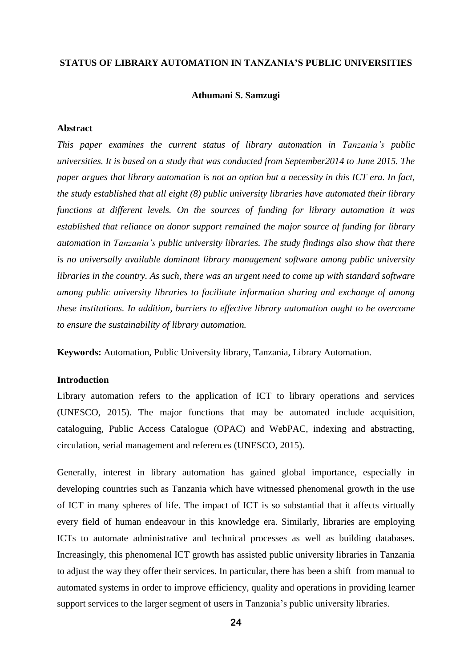### **STATUS OF LIBRARY AUTOMATION IN TANZANIA'S PUBLIC UNIVERSITIES**

#### **Athumani S. Samzugi**

### **Abstract**

*This paper examines the current status of library automation in Tanzania's public universities. It is based on a study that was conducted from September2014 to June 2015. The paper argues that library automation is not an option but a necessity in this ICT era. In fact, the study established that all eight (8) public university libraries have automated their library functions at different levels. On the sources of funding for library automation it was established that reliance on donor support remained the major source of funding for library automation in Tanzania's public university libraries. The study findings also show that there is no universally available dominant library management software among public university libraries in the country. As such, there was an urgent need to come up with standard software among public university libraries to facilitate information sharing and exchange of among these institutions. In addition, barriers to effective library automation ought to be overcome to ensure the sustainability of library automation.*

**Keywords:** Automation, Public University library, Tanzania, Library Automation.

# **Introduction**

Library automation refers to the application of ICT to library operations and services (UNESCO, 2015). The major functions that may be automated include acquisition, cataloguing, Public Access Catalogue (OPAC) and WebPAC, indexing and abstracting, circulation, serial management and references (UNESCO, 2015).

Generally, interest in library automation has gained global importance, especially in developing countries such as Tanzania which have witnessed phenomenal growth in the use of ICT in many spheres of life. The impact of ICT is so substantial that it affects virtually every field of human endeavour in this knowledge era. Similarly, libraries are employing ICTs to automate administrative and technical processes as well as building databases. Increasingly, this phenomenal ICT growth has assisted public university libraries in Tanzania to adjust the way they offer their services. In particular, there has been a shift from manual to automated systems in order to improve efficiency, quality and operations in providing learner support services to the larger segment of users in Tanzania's public university libraries.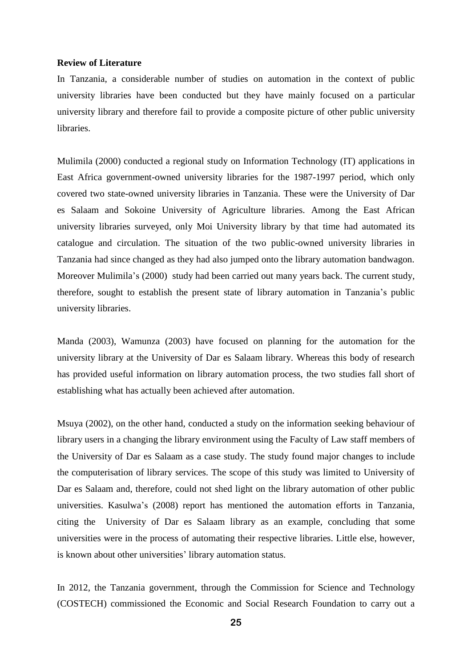#### **Review of Literature**

In Tanzania, a considerable number of studies on automation in the context of public university libraries have been conducted but they have mainly focused on a particular university library and therefore fail to provide a composite picture of other public university libraries.

Mulimila (2000) conducted a regional study on Information Technology (IT) applications in East Africa government-owned university libraries for the 1987-1997 period, which only covered two state-owned university libraries in Tanzania. These were the University of Dar es Salaam and Sokoine University of Agriculture libraries. Among the East African university libraries surveyed, only Moi University library by that time had automated its catalogue and circulation. The situation of the two public-owned university libraries in Tanzania had since changed as they had also jumped onto the library automation bandwagon. Moreover Mulimila's (2000) study had been carried out many years back. The current study, therefore, sought to establish the present state of library automation in Tanzania's public university libraries.

Manda (2003), Wamunza (2003) have focused on planning for the automation for the university library at the University of Dar es Salaam library. Whereas this body of research has provided useful information on library automation process, the two studies fall short of establishing what has actually been achieved after automation.

Msuya (2002), on the other hand, conducted a study on the information seeking behaviour of library users in a changing the library environment using the Faculty of Law staff members of the University of Dar es Salaam as a case study. The study found major changes to include the computerisation of library services. The scope of this study was limited to University of Dar es Salaam and, therefore, could not shed light on the library automation of other public universities. Kasulwa's (2008) report has mentioned the automation efforts in Tanzania, citing the University of Dar es Salaam library as an example, concluding that some universities were in the process of automating their respective libraries. Little else, however, is known about other universities' library automation status.

In 2012, the Tanzania government, through the Commission for Science and Technology (COSTECH) commissioned the Economic and Social Research Foundation to carry out a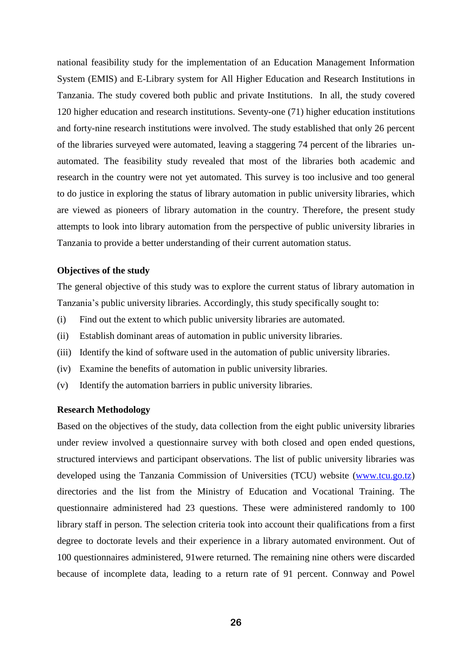national feasibility study for the implementation of an Education Management Information System (EMIS) and E-Library system for All Higher Education and Research Institutions in Tanzania. The study covered both public and private Institutions. In all, the study covered 120 higher education and research institutions. Seventy-one (71) higher education institutions and forty-nine research institutions were involved. The study established that only 26 percent of the libraries surveyed were automated, leaving a staggering 74 percent of the libraries unautomated. The feasibility study revealed that most of the libraries both academic and research in the country were not yet automated. This survey is too inclusive and too general to do justice in exploring the status of library automation in public university libraries, which are viewed as pioneers of library automation in the country. Therefore, the present study attempts to look into library automation from the perspective of public university libraries in Tanzania to provide a better understanding of their current automation status.

#### **Objectives of the study**

The general objective of this study was to explore the current status of library automation in Tanzania's public university libraries. Accordingly, this study specifically sought to:

- (i) Find out the extent to which public university libraries are automated.
- (ii) Establish dominant areas of automation in public university libraries.
- (iii) Identify the kind of software used in the automation of public university libraries.
- (iv) Examine the benefits of automation in public university libraries.
- (v) Identify the automation barriers in public university libraries.

#### **Research Methodology**

Based on the objectives of the study, data collection from the eight public university libraries under review involved a questionnaire survey with both closed and open ended questions, structured interviews and participant observations. The list of public university libraries was developed using the Tanzania Commission of Universities (TCU) website [\(www.tcu.go.tz\)](http://www.tcu.go.tz/) directories and the list from the Ministry of Education and Vocational Training. The questionnaire administered had 23 questions. These were administered randomly to 100 library staff in person. The selection criteria took into account their qualifications from a first degree to doctorate levels and their experience in a library automated environment. Out of 100 questionnaires administered, 91were returned. The remaining nine others were discarded because of incomplete data, leading to a return rate of 91 percent. Connway and Powel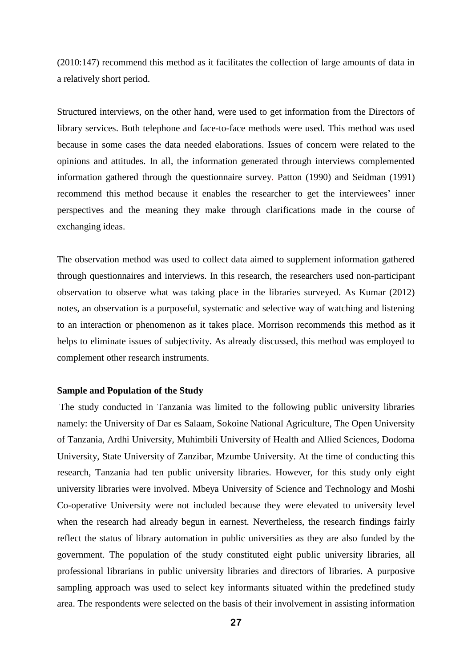(2010:147) recommend this method as it facilitates the collection of large amounts of data in a relatively short period.

Structured interviews, on the other hand, were used to get information from the Directors of library services. Both telephone and face-to-face methods were used. This method was used because in some cases the data needed elaborations. Issues of concern were related to the opinions and attitudes. In all, the information generated through interviews complemented information gathered through the questionnaire survey. Patton (1990) and Seidman (1991) recommend this method because it enables the researcher to get the interviewees' inner perspectives and the meaning they make through clarifications made in the course of exchanging ideas.

The observation method was used to collect data aimed to supplement information gathered through questionnaires and interviews. In this research, the researchers used non-participant observation to observe what was taking place in the libraries surveyed. As Kumar (2012) notes, an observation is a purposeful, systematic and selective way of watching and listening to an interaction or phenomenon as it takes place. Morrison recommends this method as it helps to eliminate issues of subjectivity. As already discussed, this method was employed to complement other research instruments.

# **Sample and Population of the Study**

The study conducted in Tanzania was limited to the following public university libraries namely: the University of Dar es Salaam, Sokoine National Agriculture, The Open University of Tanzania, Ardhi University, Muhimbili University of Health and Allied Sciences, Dodoma University, State University of Zanzibar, Mzumbe University. At the time of conducting this research, Tanzania had ten public university libraries. However, for this study only eight university libraries were involved. Mbeya University of Science and Technology and Moshi Co-operative University were not included because they were elevated to university level when the research had already begun in earnest. Nevertheless, the research findings fairly reflect the status of library automation in public universities as they are also funded by the government. The population of the study constituted eight public university libraries, all professional librarians in public university libraries and directors of libraries. A purposive sampling approach was used to select key informants situated within the predefined study area. The respondents were selected on the basis of their involvement in assisting information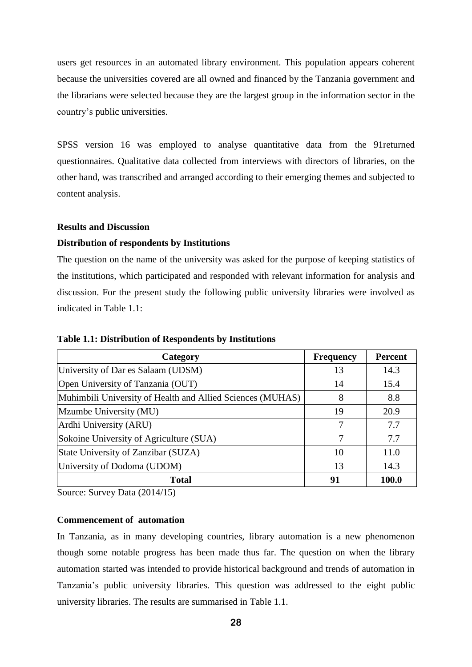users get resources in an automated library environment. This population appears coherent because the universities covered are all owned and financed by the Tanzania government and the librarians were selected because they are the largest group in the information sector in the country's public universities.

SPSS version 16 was employed to analyse quantitative data from the 91returned questionnaires. Qualitative data collected from interviews with directors of libraries, on the other hand, was transcribed and arranged according to their emerging themes and subjected to content analysis.

### **Results and Discussion**

# **Distribution of respondents by Institutions**

The question on the name of the university was asked for the purpose of keeping statistics of the institutions, which participated and responded with relevant information for analysis and discussion. For the present study the following public university libraries were involved as indicated in Table 1.1:

| Category                                                   | <b>Frequency</b> | <b>Percent</b> |
|------------------------------------------------------------|------------------|----------------|
| University of Dar es Salaam (UDSM)                         | 13               | 14.3           |
| Open University of Tanzania (OUT)                          | 14               | 15.4           |
| Muhimbili University of Health and Allied Sciences (MUHAS) | 8                | 8.8            |
| Mzumbe University (MU)                                     | 19               | 20.9           |
| Ardhi University (ARU)                                     | 7                | 7.7            |
| Sokoine University of Agriculture (SUA)                    | 7                | 7.7            |
| State University of Zanzibar (SUZA)                        | 10               | 11.0           |
| University of Dodoma (UDOM)                                | 13               | 14.3           |
| <b>Total</b>                                               | 91               | 100.0          |

**Table 1.1: Distribution of Respondents by Institutions**

Source: Survey Data (2014/15)

# **Commencement of automation**

In Tanzania, as in many developing countries, library automation is a new phenomenon though some notable progress has been made thus far. The question on when the library automation started was intended to provide historical background and trends of automation in Tanzania's public university libraries. This question was addressed to the eight public university libraries. The results are summarised in Table 1.1.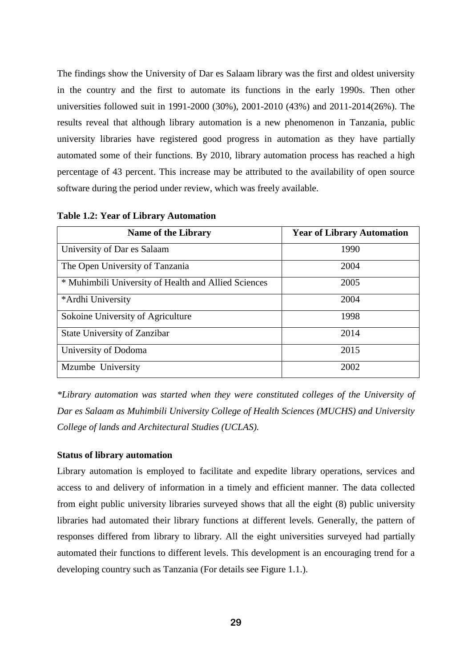The findings show the University of Dar es Salaam library was the first and oldest university in the country and the first to automate its functions in the early 1990s. Then other universities followed suit in 1991-2000 (30%), 2001-2010 (43%) and 2011-2014(26%). The results reveal that although library automation is a new phenomenon in Tanzania, public university libraries have registered good progress in automation as they have partially automated some of their functions. By 2010, library automation process has reached a high percentage of 43 percent. This increase may be attributed to the availability of open source software during the period under review, which was freely available.

| <b>Name of the Library</b>                           | <b>Year of Library Automation</b> |
|------------------------------------------------------|-----------------------------------|
| University of Dar es Salaam                          | 1990                              |
| The Open University of Tanzania                      | 2004                              |
| * Muhimbili University of Health and Allied Sciences | 2005                              |
| *Ardhi University                                    | 2004                              |
| Sokoine University of Agriculture                    | 1998                              |
| <b>State University of Zanzibar</b>                  | 2014                              |
| University of Dodoma                                 | 2015                              |
| Mzumbe University                                    | 2002                              |

**Table 1.2: Year of Library Automation**

*\*Library automation was started when they were constituted colleges of the University of Dar es Salaam as Muhimbili University College of Health Sciences (MUCHS) and University College of lands and Architectural Studies (UCLAS).*

### **Status of library automation**

Library automation is employed to facilitate and expedite library operations, services and access to and delivery of information in a timely and efficient manner. The data collected from eight public university libraries surveyed shows that all the eight (8) public university libraries had automated their library functions at different levels. Generally, the pattern of responses differed from library to library. All the eight universities surveyed had partially automated their functions to different levels. This development is an encouraging trend for a developing country such as Tanzania (For details see Figure 1.1.).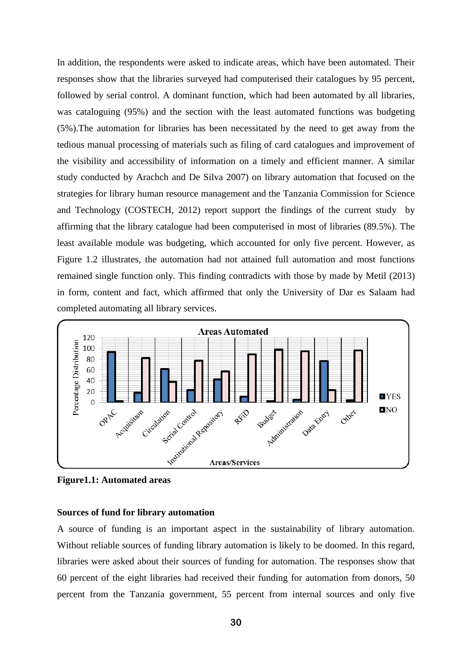In addition, the respondents were asked to indicate areas, which have been automated. Their responses show that the libraries surveyed had computerised their catalogues by 95 percent, followed by serial control. A dominant function, which had been automated by all libraries, was cataloguing (95%) and the section with the least automated functions was budgeting (5%).The automation for libraries has been necessitated by the need to get away from the tedious manual processing of materials such as filing of card catalogues and improvement of the visibility and accessibility of information on a timely and efficient manner. A similar study conducted by Arachch and De Silva 2007) on library automation that focused on the strategies for library human resource management and the Tanzania Commission for Science and Technology (COSTECH, 2012) report support the findings of the current study by affirming that the library catalogue had been computerised in most of libraries (89.5%). The least available module was budgeting, which accounted for only five percent. However, as Figure 1.2 illustrates, the automation had not attained full automation and most functions remained single function only. This finding contradicts with those by made by Metil (2013) in form, content and fact, which affirmed that only the University of Dar es Salaam had completed automating all library services.



**Figure1.1: Automated areas**

# **Sources of fund for library automation**

A source of funding is an important aspect in the sustainability of library automation. Without reliable sources of funding library automation is likely to be doomed. In this regard, libraries were asked about their sources of funding for automation. The responses show that 60 percent of the eight libraries had received their funding for automation from donors, 50 percent from the Tanzania government, 55 percent from internal sources and only five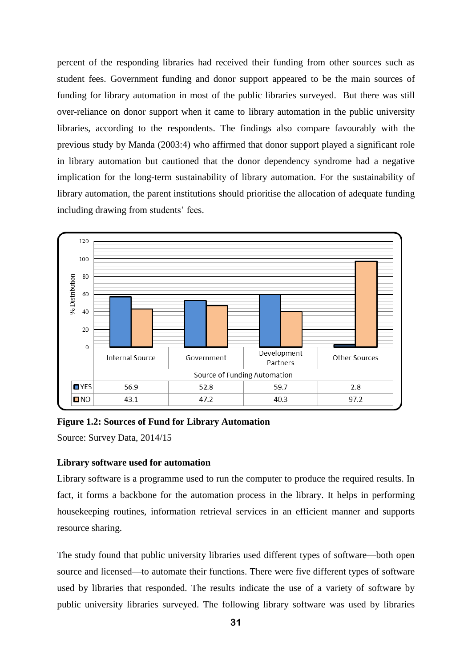percent of the responding libraries had received their funding from other sources such as student fees. Government funding and donor support appeared to be the main sources of funding for library automation in most of the public libraries surveyed. But there was still over-reliance on donor support when it came to library automation in the public university libraries, according to the respondents. The findings also compare favourably with the previous study by Manda (2003:4) who affirmed that donor support played a significant role in library automation but cautioned that the donor dependency syndrome had a negative implication for the long-term sustainability of library automation. For the sustainability of library automation, the parent institutions should prioritise the allocation of adequate funding including drawing from students' fees.



**Figure 1.2: Sources of Fund for Library Automation**

Source: Survey Data, 2014/15

# **Library software used for automation**

Library software is a programme used to run the computer to produce the required results. In fact, it forms a backbone for the automation process in the library. It helps in performing housekeeping routines, information retrieval services in an efficient manner and supports resource sharing.

The study found that public university libraries used different types of software—both open source and licensed—to automate their functions. There were five different types of software used by libraries that responded. The results indicate the use of a variety of software by public university libraries surveyed. The following library software was used by libraries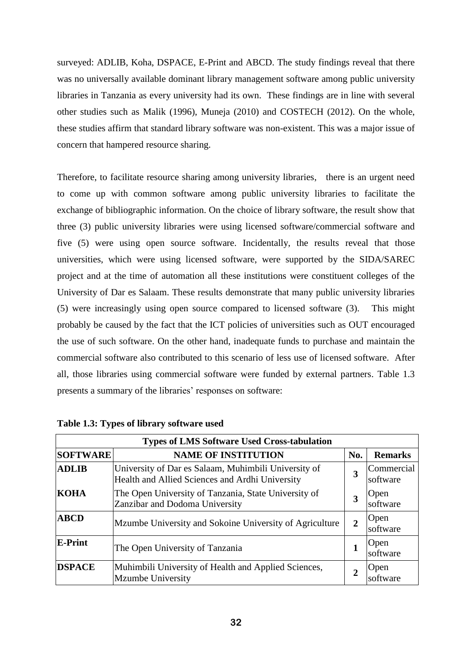surveyed: ADLIB, Koha, DSPACE, E-Print and ABCD. The study findings reveal that there was no universally available dominant library management software among public university libraries in Tanzania as every university had its own. These findings are in line with several other studies such as Malik (1996), Muneja (2010) and COSTECH (2012). On the whole, these studies affirm that standard library software was non-existent. This was a major issue of concern that hampered resource sharing.

Therefore, to facilitate resource sharing among university libraries, there is an urgent need to come up with common software among public university libraries to facilitate the exchange of bibliographic information. On the choice of library software, the result show that three (3) public university libraries were using licensed software/commercial software and five (5) were using open source software. Incidentally, the results reveal that those universities, which were using licensed software, were supported by the SIDA/SAREC project and at the time of automation all these institutions were constituent colleges of the University of Dar es Salaam. These results demonstrate that many public university libraries (5) were increasingly using open source compared to licensed software (3). This might probably be caused by the fact that the ICT policies of universities such as OUT encouraged the use of such software. On the other hand, inadequate funds to purchase and maintain the commercial software also contributed to this scenario of less use of licensed software. After all, those libraries using commercial software were funded by external partners. Table 1.3 presents a summary of the libraries' responses on software:

| <b>Types of LMS Software Used Cross-tabulation</b> |                                                                                                         |                |                         |
|----------------------------------------------------|---------------------------------------------------------------------------------------------------------|----------------|-------------------------|
| <b>SOFTWARE</b><br><b>NAME OF INSTITUTION</b>      |                                                                                                         | No.            | <b>Remarks</b>          |
| <b>ADLIB</b>                                       | University of Dar es Salaam, Muhimbili University of<br>Health and Allied Sciences and Ardhi University | 3              | Commercial<br>software  |
| KOHA                                               | The Open University of Tanzania, State University of<br>Zanzibar and Dodoma University                  | 3              | Open<br>software        |
| <b>ABCD</b>                                        | Mzumbe University and Sokoine University of Agriculture                                                 | $\overline{2}$ | Open<br>software        |
| E-Print                                            | The Open University of Tanzania                                                                         |                | <b>Open</b><br>software |
| <b>DSPACE</b>                                      | Muhimbili University of Health and Applied Sciences,<br>Mzumbe University                               | $\mathbf{2}$   | Open                    |

| Table 1.3: Types of library software used |  |  |
|-------------------------------------------|--|--|
|                                           |  |  |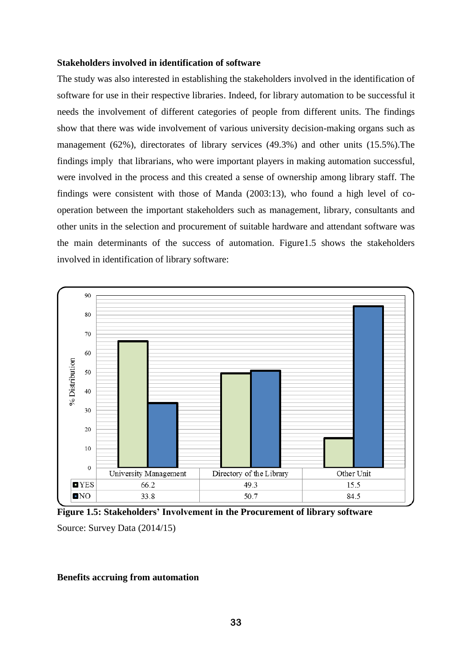#### **Stakeholders involved in identification of software**

The study was also interested in establishing the stakeholders involved in the identification of software for use in their respective libraries. Indeed, for library automation to be successful it needs the involvement of different categories of people from different units. The findings show that there was wide involvement of various university decision-making organs such as management (62%), directorates of library services (49.3%) and other units (15.5%).The findings imply that librarians, who were important players in making automation successful, were involved in the process and this created a sense of ownership among library staff. The findings were consistent with those of Manda (2003:13), who found a high level of cooperation between the important stakeholders such as management, library, consultants and other units in the selection and procurement of suitable hardware and attendant software was the main determinants of the success of automation. Figure1.5 shows the stakeholders involved in identification of library software:



**Figure 1.5: Stakeholders' Involvement in the Procurement of library software** 

Source: Survey Data (2014/15)

#### **Benefits accruing from automation**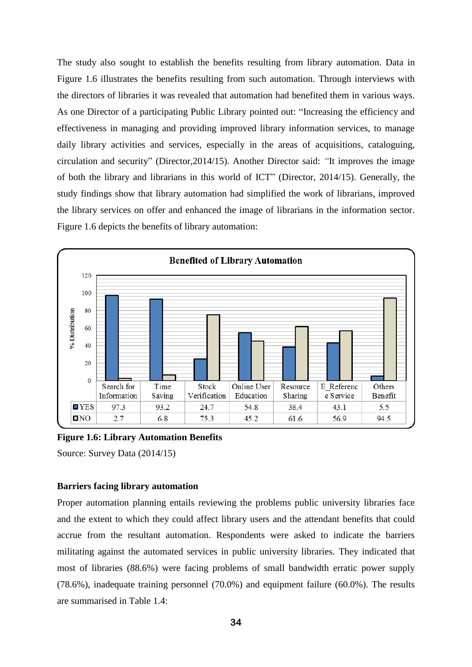The study also sought to establish the benefits resulting from library automation. Data in Figure 1.6 illustrates the benefits resulting from such automation. Through interviews with the directors of libraries it was revealed that automation had benefited them in various ways. As one Director of a participating Public Library pointed out: "Increasing the efficiency and effectiveness in managing and providing improved library information services, to manage daily library activities and services, especially in the areas of acquisitions, cataloguing, circulation and security" (Director,2014/15). Another Director said: *"*It improves the image of both the library and librarians in this world of ICT" (Director, 2014/15). Generally, the study findings show that library automation had simplified the work of librarians, improved the library services on offer and enhanced the image of librarians in the information sector. Figure 1.6 depicts the benefits of library automation:



**Figure 1.6: Library Automation Benefits**

Source: Survey Data (2014/15)

# **Barriers facing library automation**

Proper automation planning entails reviewing the problems public university libraries face and the extent to which they could affect library users and the attendant benefits that could accrue from the resultant automation. Respondents were asked to indicate the barriers militating against the automated services in public university libraries. They indicated that most of libraries (88.6%) were facing problems of small bandwidth erratic power supply (78.6%), inadequate training personnel (70.0%) and equipment failure (60.0%). The results are summarised in Table 1.4: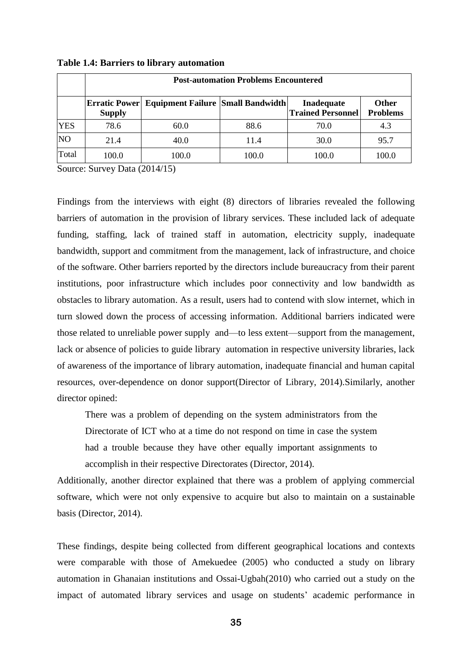|            | <b>Post-automation Problems Encountered</b> |                                                        |       |                                               |                                 |
|------------|---------------------------------------------|--------------------------------------------------------|-------|-----------------------------------------------|---------------------------------|
|            | <b>Supply</b>                               | <b>Erratic Power</b> Equipment Failure Small Bandwidth |       | <b>Inadequate</b><br><b>Trained Personnel</b> | <b>Other</b><br><b>Problems</b> |
| <b>YES</b> | 78.6                                        | 60.0                                                   | 88.6  | 70.0                                          | 4.3                             |
| <b>NO</b>  | 21.4                                        | 40.0                                                   | 11.4  | 30.0                                          | 95.7                            |
| Total      | 100.0                                       | 100.0                                                  | 100.0 | 100.0                                         | 100.0                           |

**Table 1.4: Barriers to library automation**

Source: Survey Data (2014/15)

Findings from the interviews with eight (8) directors of libraries revealed the following barriers of automation in the provision of library services. These included lack of adequate funding, staffing, lack of trained staff in automation, electricity supply, inadequate bandwidth, support and commitment from the management, lack of infrastructure, and choice of the software. Other barriers reported by the directors include bureaucracy from their parent institutions, poor infrastructure which includes poor connectivity and low bandwidth as obstacles to library automation. As a result, users had to contend with slow internet, which in turn slowed down the process of accessing information. Additional barriers indicated were those related to unreliable power supply and—to less extent—support from the management, lack or absence of policies to guide library automation in respective university libraries, lack of awareness of the importance of library automation, inadequate financial and human capital resources, over-dependence on donor support(Director of Library, 2014).Similarly, another director opined:

There was a problem of depending on the system administrators from the Directorate of ICT who at a time do not respond on time in case the system had a trouble because they have other equally important assignments to accomplish in their respective Directorates (Director, 2014).

Additionally, another director explained that there was a problem of applying commercial software, which were not only expensive to acquire but also to maintain on a sustainable basis (Director, 2014).

These findings, despite being collected from different geographical locations and contexts were comparable with those of Amekuedee (2005) who conducted a study on library automation in Ghanaian institutions and Ossai-Ugbah(2010) who carried out a study on the impact of automated library services and usage on students' academic performance in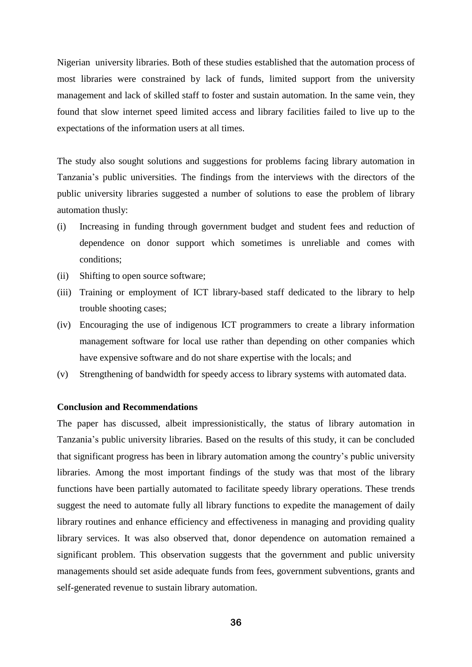Nigerian university libraries. Both of these studies established that the automation process of most libraries were constrained by lack of funds, limited support from the university management and lack of skilled staff to foster and sustain automation. In the same vein, they found that slow internet speed limited access and library facilities failed to live up to the expectations of the information users at all times.

The study also sought solutions and suggestions for problems facing library automation in Tanzania's public universities. The findings from the interviews with the directors of the public university libraries suggested a number of solutions to ease the problem of library automation thusly:

- (i) Increasing in funding through government budget and student fees and reduction of dependence on donor support which sometimes is unreliable and comes with conditions;
- (ii) Shifting to open source software;
- (iii) Training or employment of ICT library-based staff dedicated to the library to help trouble shooting cases;
- (iv) Encouraging the use of indigenous ICT programmers to create a library information management software for local use rather than depending on other companies which have expensive software and do not share expertise with the locals; and
- (v) Strengthening of bandwidth for speedy access to library systems with automated data.

## **Conclusion and Recommendations**

The paper has discussed, albeit impressionistically, the status of library automation in Tanzania's public university libraries. Based on the results of this study, it can be concluded that significant progress has been in library automation among the country's public university libraries. Among the most important findings of the study was that most of the library functions have been partially automated to facilitate speedy library operations. These trends suggest the need to automate fully all library functions to expedite the management of daily library routines and enhance efficiency and effectiveness in managing and providing quality library services. It was also observed that, donor dependence on automation remained a significant problem. This observation suggests that the government and public university managements should set aside adequate funds from fees, government subventions, grants and self-generated revenue to sustain library automation.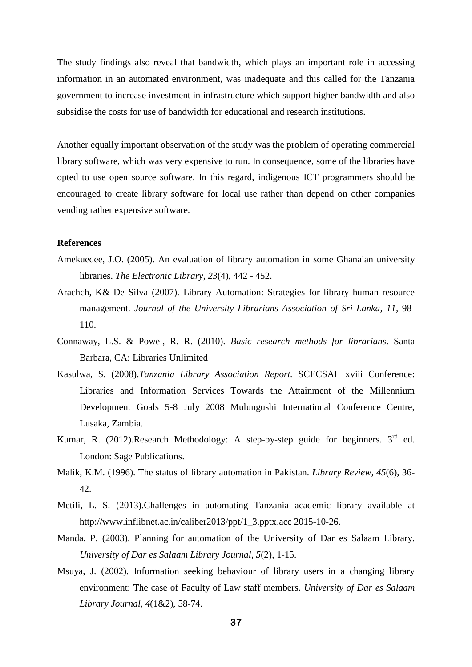The study findings also reveal that bandwidth, which plays an important role in accessing information in an automated environment, was inadequate and this called for the Tanzania government to increase investment in infrastructure which support higher bandwidth and also subsidise the costs for use of bandwidth for educational and research institutions.

Another equally important observation of the study was the problem of operating commercial library software, which was very expensive to run. In consequence, some of the libraries have opted to use open source software. In this regard, indigenous ICT programmers should be encouraged to create library software for local use rather than depend on other companies vending rather expensive software.

# **References**

- Amekuedee, J.O. (2005). An evaluation of library automation in some Ghanaian university libraries. *The Electronic Library, 23*(4), 442 - 452.
- Arachch, K& De Silva (2007). Library Automation: Strategies for library human resource management. *Journal of the University Librarians Association of Sri Lanka, 11,* 98- 110.
- Connaway, L.S. & Powel, R. R. (2010). *Basic research methods for librarians*. Santa Barbara, CA: Libraries Unlimited
- Kasulwa, S. (2008).*Tanzania Library Association Report.* SCECSAL xviii Conference: Libraries and Information Services Towards the Attainment of the Millennium Development Goals 5-8 July 2008 Mulungushi International Conference Centre, Lusaka, Zambia.
- Kumar, R. (2012).Research Methodology: A step-by-step guide for beginners.  $3<sup>rd</sup>$  ed. London: Sage Publications.
- Malik, K.M. (1996). The status of library automation in Pakistan. *Library Review, 45*(6), 36- 42.
- Metili, L. S. (2013).Challenges in automating Tanzania academic library available at [http://www.inflibnet.ac.in/caliber2013/ppt/1\\_3.pptx.](http://www.inflibnet.ac.in/caliber2013/ppt/1_3.pptx)acc 2015-10-26.
- Manda, P. (2003). Planning for automation of the University of Dar es Salaam Library. *University of Dar es Salaam Library Journal*, *5*(2), 1-15.
- Msuya, J. (2002). Information seeking behaviour of library users in a changing library environment: The case of Faculty of Law staff members. *University of Dar es Salaam Library Journal, 4*(1&2), 58-74.